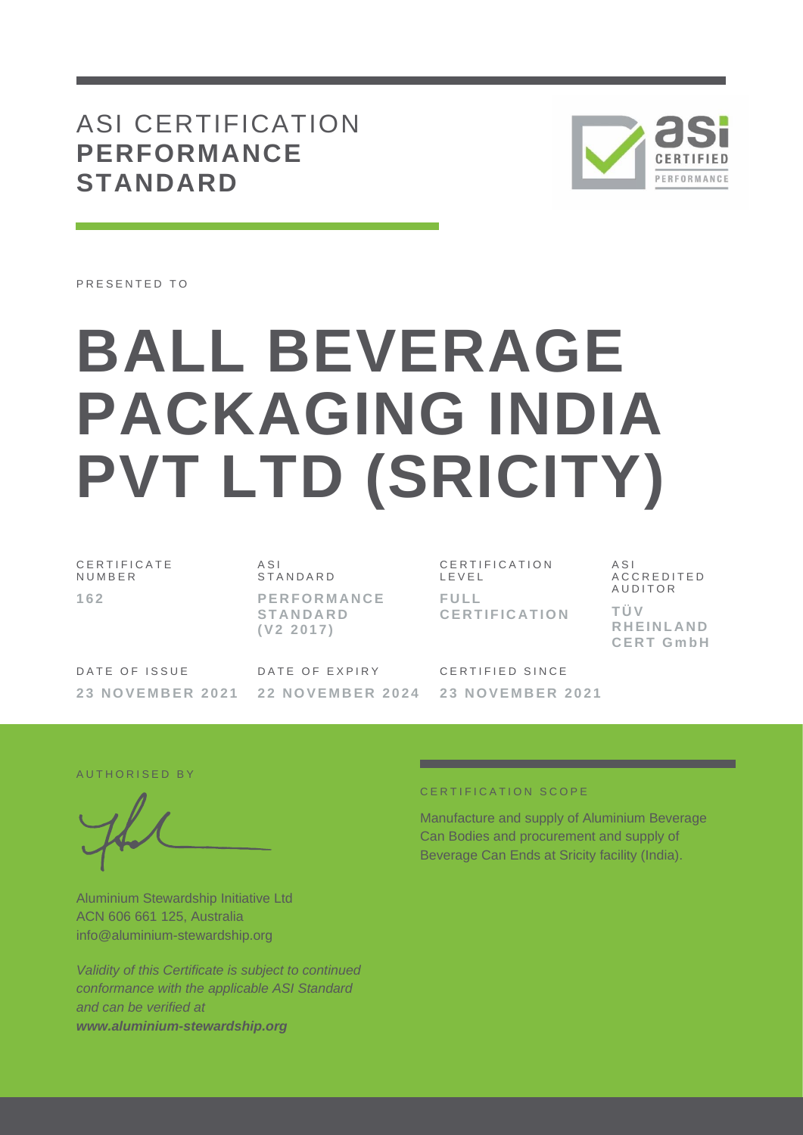## ASI CERTIFICATION **PERFORMANCE STANDARD**



PRESENTED TO

# **BALL BEVERAGE PACKAGING INDIA PVT LTD (SRICITY)**

C E R T I F I C A T E **NUMBER 1 6 2**

A S I **STANDARD P E R F O R M A N C E S T A N D A R D ( V 2 2 0 1 7 )**

C E R T I F I C A T I O N L E V E L **F U L L C E R T I F I C A T I O N**  $A S I$ A C C R E D I T E D **AUDITOR T Ü V R H E I N L A N D C E R T G m b H**

DATE OF ISSUE **2 3 N O V E M B E R 2021** DATE OF EXPIRY **2 2 N O V E M B E R 202 4**

CERTIFIED SINCE **2 3 N O V E M B E R 2021**

AUTHORISED BY

Aluminium Stewardship Initiative Ltd ACN 606 661 125, Australia info@aluminium-stewardship.org

*Validity of this Certificate is subject to continued conformance with the applicable ASI Standard and can be verified at www.aluminium-stewardship.org*

#### C E R T I F I C A T I O N S C O P F

Manufacture and supply of Aluminium Beverage Can Bodies and procurement and supply of Beverage Can Ends at Sricity facility (India).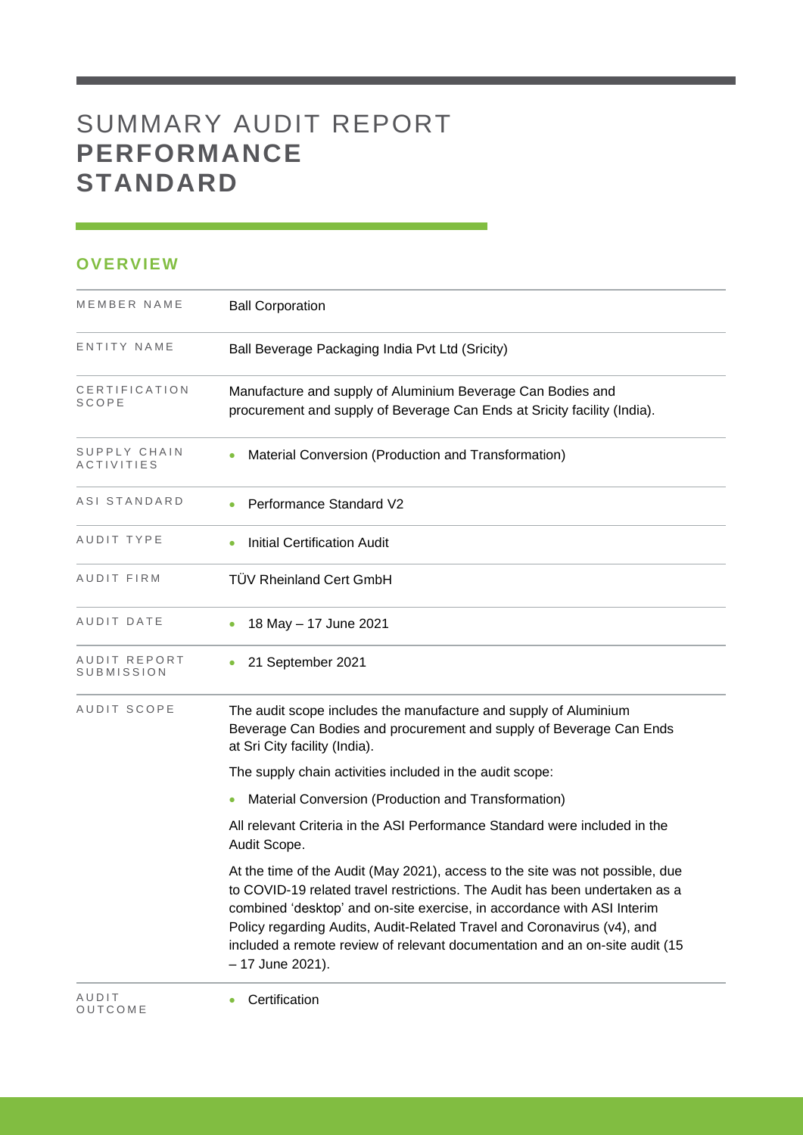# SUMMARY AUDIT REPORT **PERFORMANCE STANDARD**

### **OVERVIEW**

O U T C O M E

| MEMBER NAME                       | <b>Ball Corporation</b>                                                                                                                                                                                                                                                                                                                                                                                               |
|-----------------------------------|-----------------------------------------------------------------------------------------------------------------------------------------------------------------------------------------------------------------------------------------------------------------------------------------------------------------------------------------------------------------------------------------------------------------------|
| ENTITY NAME                       | Ball Beverage Packaging India Pvt Ltd (Sricity)                                                                                                                                                                                                                                                                                                                                                                       |
| CERTIFICATION<br><b>SCOPE</b>     | Manufacture and supply of Aluminium Beverage Can Bodies and<br>procurement and supply of Beverage Can Ends at Sricity facility (India).                                                                                                                                                                                                                                                                               |
| SUPPLY CHAIN<br><b>ACTIVITIES</b> | Material Conversion (Production and Transformation)                                                                                                                                                                                                                                                                                                                                                                   |
| ASI STANDARD                      | Performance Standard V2                                                                                                                                                                                                                                                                                                                                                                                               |
| AUDIT TYPE                        | <b>Initial Certification Audit</b>                                                                                                                                                                                                                                                                                                                                                                                    |
| AUDIT FIRM                        | <b>TÜV Rheinland Cert GmbH</b>                                                                                                                                                                                                                                                                                                                                                                                        |
| AUDIT DATE                        | 18 May - 17 June 2021                                                                                                                                                                                                                                                                                                                                                                                                 |
| AUDIT REPORT<br><b>SUBMISSION</b> | 21 September 2021                                                                                                                                                                                                                                                                                                                                                                                                     |
| AUDIT SCOPE                       | The audit scope includes the manufacture and supply of Aluminium<br>Beverage Can Bodies and procurement and supply of Beverage Can Ends<br>at Sri City facility (India).                                                                                                                                                                                                                                              |
|                                   | The supply chain activities included in the audit scope:                                                                                                                                                                                                                                                                                                                                                              |
|                                   | Material Conversion (Production and Transformation)                                                                                                                                                                                                                                                                                                                                                                   |
|                                   | All relevant Criteria in the ASI Performance Standard were included in the<br>Audit Scope.                                                                                                                                                                                                                                                                                                                            |
|                                   | At the time of the Audit (May 2021), access to the site was not possible, due<br>to COVID-19 related travel restrictions. The Audit has been undertaken as a<br>combined 'desktop' and on-site exercise, in accordance with ASI Interim<br>Policy regarding Audits, Audit-Related Travel and Coronavirus (v4), and<br>included a remote review of relevant documentation and an on-site audit (15<br>- 17 June 2021). |
| AUDIT                             | Certification                                                                                                                                                                                                                                                                                                                                                                                                         |

<u> 1989 - Johann Barnett, mars et al. 1989 - Anna ann an t-</u>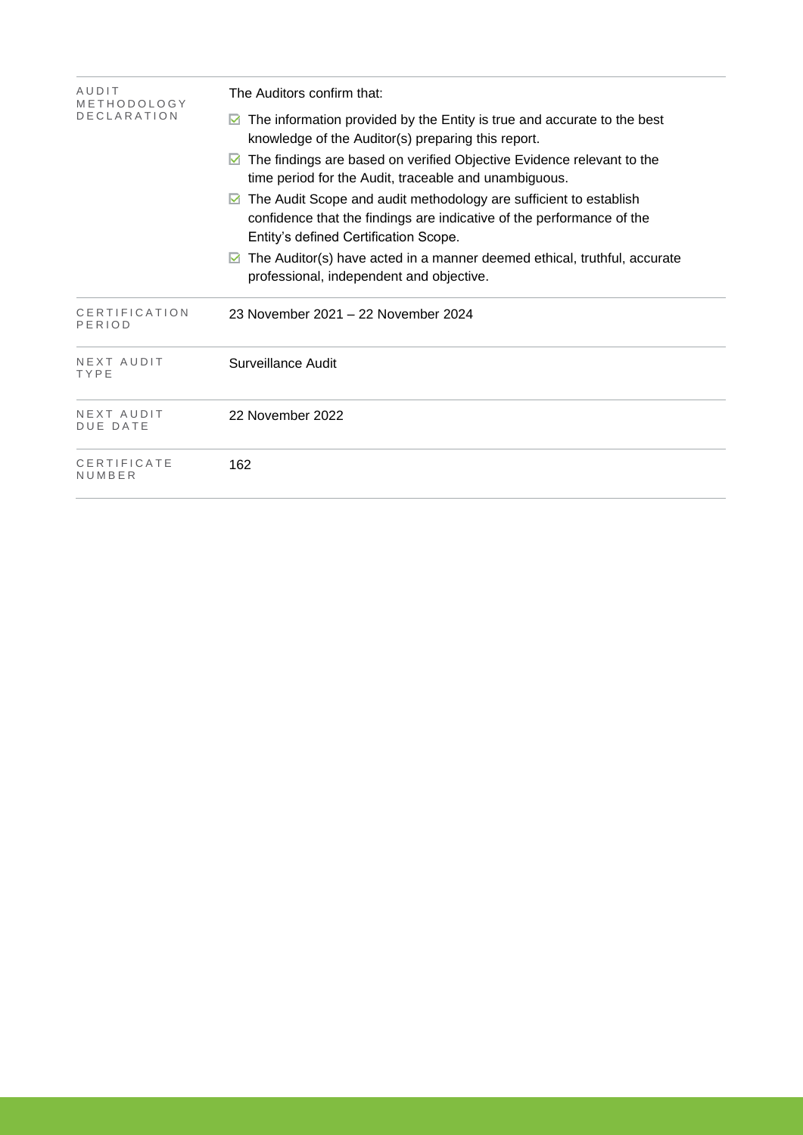| AUDIT<br>METHODOLOGY          | The Auditors confirm that:                                                                                                                                                          |  |  |  |  |
|-------------------------------|-------------------------------------------------------------------------------------------------------------------------------------------------------------------------------------|--|--|--|--|
| <b>DECLARATION</b>            | The information provided by the Entity is true and accurate to the best<br>M<br>knowledge of the Auditor(s) preparing this report.                                                  |  |  |  |  |
|                               | The findings are based on verified Objective Evidence relevant to the<br>M<br>time period for the Audit, traceable and unambiguous.                                                 |  |  |  |  |
|                               | The Audit Scope and audit methodology are sufficient to establish<br>confidence that the findings are indicative of the performance of the<br>Entity's defined Certification Scope. |  |  |  |  |
|                               | The Auditor(s) have acted in a manner deemed ethical, truthful, accurate<br>M<br>professional, independent and objective.                                                           |  |  |  |  |
| CERTIFICATION<br>PERIOD       | 23 November 2021 - 22 November 2024                                                                                                                                                 |  |  |  |  |
| NEXT AUDIT<br>TYPE            | Surveillance Audit                                                                                                                                                                  |  |  |  |  |
| NEXT AUDIT<br><b>DUE DATE</b> | 22 November 2022                                                                                                                                                                    |  |  |  |  |
| CERTIFICATE<br>NUMBER         | 162                                                                                                                                                                                 |  |  |  |  |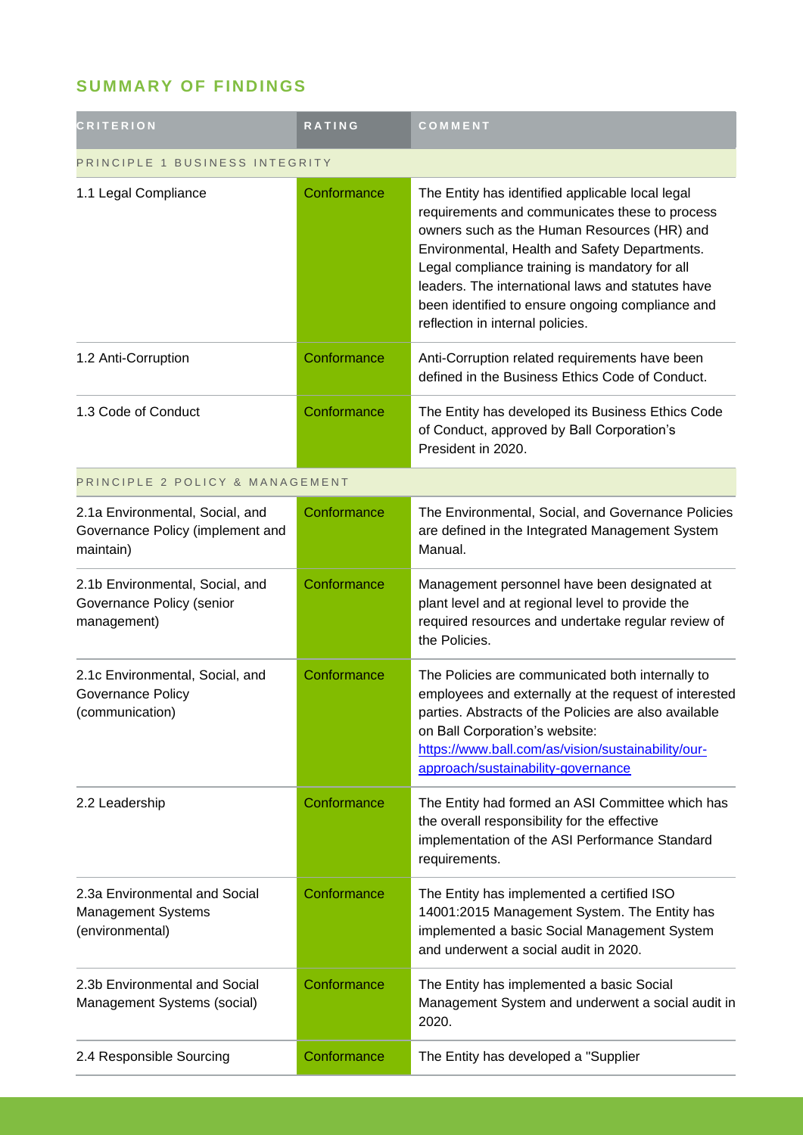## **SUMMARY OF FINDINGS**

| <b>CRITERION</b>                                                                 | <b>RATING</b> | COMMENT                                                                                                                                                                                                                                                                                                                                                                                           |  |
|----------------------------------------------------------------------------------|---------------|---------------------------------------------------------------------------------------------------------------------------------------------------------------------------------------------------------------------------------------------------------------------------------------------------------------------------------------------------------------------------------------------------|--|
| PRINCIPLE 1 BUSINESS INTEGRITY                                                   |               |                                                                                                                                                                                                                                                                                                                                                                                                   |  |
| 1.1 Legal Compliance                                                             | Conformance   | The Entity has identified applicable local legal<br>requirements and communicates these to process<br>owners such as the Human Resources (HR) and<br>Environmental, Health and Safety Departments.<br>Legal compliance training is mandatory for all<br>leaders. The international laws and statutes have<br>been identified to ensure ongoing compliance and<br>reflection in internal policies. |  |
| 1.2 Anti-Corruption                                                              | Conformance   | Anti-Corruption related requirements have been<br>defined in the Business Ethics Code of Conduct.                                                                                                                                                                                                                                                                                                 |  |
| 1.3 Code of Conduct                                                              | Conformance   | The Entity has developed its Business Ethics Code<br>of Conduct, approved by Ball Corporation's<br>President in 2020.                                                                                                                                                                                                                                                                             |  |
| PRINCIPLE 2 POLICY & MANAGEMENT                                                  |               |                                                                                                                                                                                                                                                                                                                                                                                                   |  |
| 2.1a Environmental, Social, and<br>Governance Policy (implement and<br>maintain) | Conformance   | The Environmental, Social, and Governance Policies<br>are defined in the Integrated Management System<br>Manual.                                                                                                                                                                                                                                                                                  |  |
| 2.1b Environmental, Social, and<br>Governance Policy (senior<br>management)      | Conformance   | Management personnel have been designated at<br>plant level and at regional level to provide the<br>required resources and undertake regular review of<br>the Policies.                                                                                                                                                                                                                           |  |
| 2.1c Environmental, Social, and<br><b>Governance Policy</b><br>(communication)   | Conformance   | The Policies are communicated both internally to<br>employees and externally at the request of interested<br>parties. Abstracts of the Policies are also available<br>on Ball Corporation's website:<br>https://www.ball.com/as/vision/sustainability/our-<br>approach/sustainability-governance                                                                                                  |  |
| 2.2 Leadership                                                                   | Conformance   | The Entity had formed an ASI Committee which has<br>the overall responsibility for the effective<br>implementation of the ASI Performance Standard<br>requirements.                                                                                                                                                                                                                               |  |
| 2.3a Environmental and Social<br>Management Systems<br>(environmental)           | Conformance   | The Entity has implemented a certified ISO<br>14001:2015 Management System. The Entity has<br>implemented a basic Social Management System<br>and underwent a social audit in 2020.                                                                                                                                                                                                               |  |
| 2.3b Environmental and Social<br>Management Systems (social)                     | Conformance   | The Entity has implemented a basic Social<br>Management System and underwent a social audit in<br>2020.                                                                                                                                                                                                                                                                                           |  |
| 2.4 Responsible Sourcing                                                         | Conformance   | The Entity has developed a "Supplier                                                                                                                                                                                                                                                                                                                                                              |  |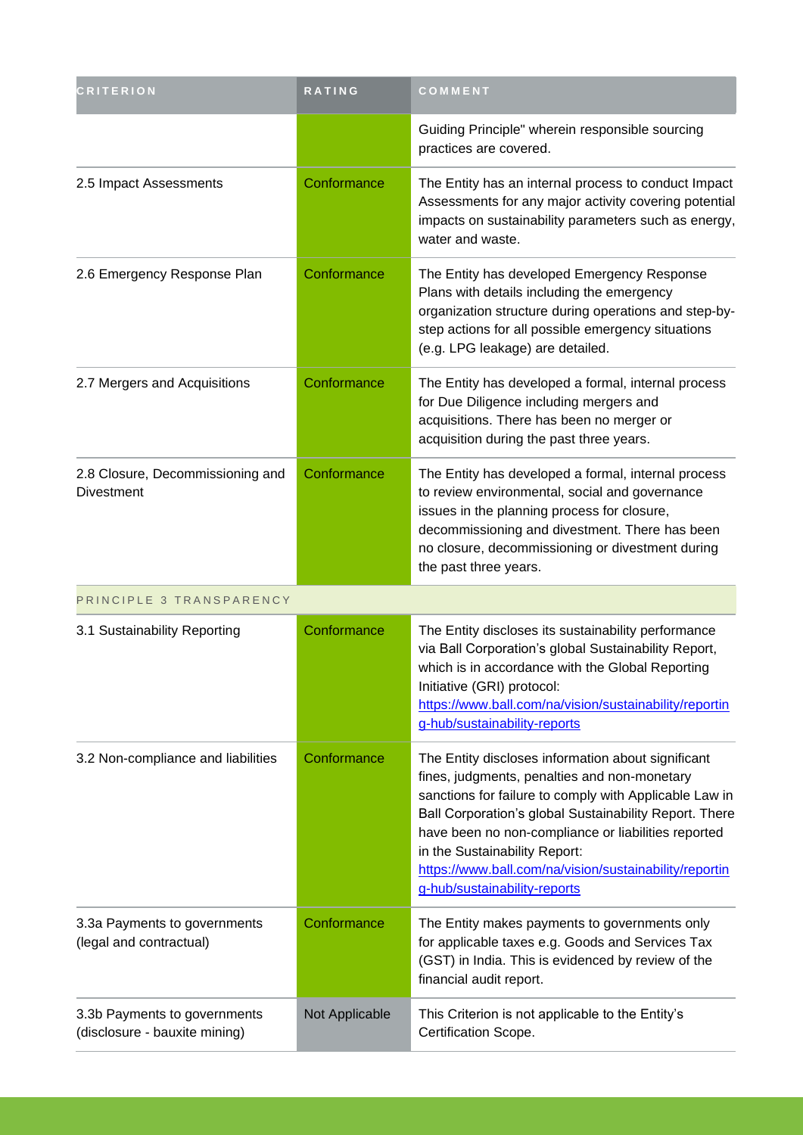| <b>CRITERION</b>                                              | RATING         | COMMENT                                                                                                                                                                                                                                                                                                                                                                                                  |
|---------------------------------------------------------------|----------------|----------------------------------------------------------------------------------------------------------------------------------------------------------------------------------------------------------------------------------------------------------------------------------------------------------------------------------------------------------------------------------------------------------|
|                                                               |                | Guiding Principle" wherein responsible sourcing<br>practices are covered.                                                                                                                                                                                                                                                                                                                                |
| 2.5 Impact Assessments                                        | Conformance    | The Entity has an internal process to conduct Impact<br>Assessments for any major activity covering potential<br>impacts on sustainability parameters such as energy,<br>water and waste.                                                                                                                                                                                                                |
| 2.6 Emergency Response Plan                                   | Conformance    | The Entity has developed Emergency Response<br>Plans with details including the emergency<br>organization structure during operations and step-by-<br>step actions for all possible emergency situations<br>(e.g. LPG leakage) are detailed.                                                                                                                                                             |
| 2.7 Mergers and Acquisitions                                  | Conformance    | The Entity has developed a formal, internal process<br>for Due Diligence including mergers and<br>acquisitions. There has been no merger or<br>acquisition during the past three years.                                                                                                                                                                                                                  |
| 2.8 Closure, Decommissioning and<br><b>Divestment</b>         | Conformance    | The Entity has developed a formal, internal process<br>to review environmental, social and governance<br>issues in the planning process for closure,<br>decommissioning and divestment. There has been<br>no closure, decommissioning or divestment during<br>the past three years.                                                                                                                      |
| PRINCIPLE 3 TRANSPARENCY                                      |                |                                                                                                                                                                                                                                                                                                                                                                                                          |
| 3.1 Sustainability Reporting                                  | Conformance    | The Entity discloses its sustainability performance<br>via Ball Corporation's global Sustainability Report,<br>which is in accordance with the Global Reporting<br>Initiative (GRI) protocol:<br>https://www.ball.com/na/vision/sustainability/reportin<br>g-hub/sustainability-reports                                                                                                                  |
| 3.2 Non-compliance and liabilities                            | Conformance    | The Entity discloses information about significant<br>fines, judgments, penalties and non-monetary<br>sanctions for failure to comply with Applicable Law in<br>Ball Corporation's global Sustainability Report. There<br>have been no non-compliance or liabilities reported<br>in the Sustainability Report:<br>https://www.ball.com/na/vision/sustainability/reportin<br>g-hub/sustainability-reports |
| 3.3a Payments to governments<br>(legal and contractual)       | Conformance    | The Entity makes payments to governments only<br>for applicable taxes e.g. Goods and Services Tax<br>(GST) in India. This is evidenced by review of the<br>financial audit report.                                                                                                                                                                                                                       |
| 3.3b Payments to governments<br>(disclosure - bauxite mining) | Not Applicable | This Criterion is not applicable to the Entity's<br>Certification Scope.                                                                                                                                                                                                                                                                                                                                 |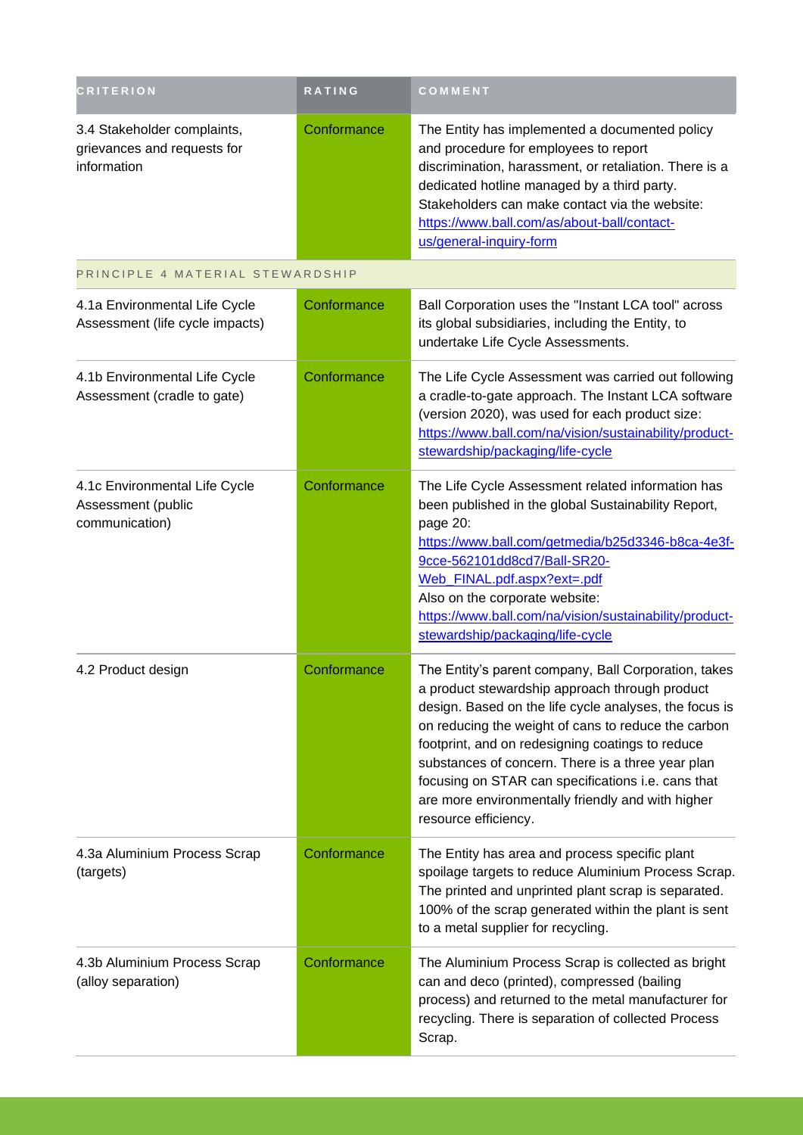| <b>CRITERION</b>                                                          | RATING      | COMMENT                                                                                                                                                                                                                                                                                                                                                                                                                                                             |
|---------------------------------------------------------------------------|-------------|---------------------------------------------------------------------------------------------------------------------------------------------------------------------------------------------------------------------------------------------------------------------------------------------------------------------------------------------------------------------------------------------------------------------------------------------------------------------|
| 3.4 Stakeholder complaints,<br>grievances and requests for<br>information | Conformance | The Entity has implemented a documented policy<br>and procedure for employees to report<br>discrimination, harassment, or retaliation. There is a<br>dedicated hotline managed by a third party.<br>Stakeholders can make contact via the website:<br>https://www.ball.com/as/about-ball/contact-<br>us/general-inquiry-form                                                                                                                                        |
| PRINCIPLE 4 MATERIAL STEWARDSHIP                                          |             |                                                                                                                                                                                                                                                                                                                                                                                                                                                                     |
| 4.1a Environmental Life Cycle<br>Assessment (life cycle impacts)          | Conformance | Ball Corporation uses the "Instant LCA tool" across<br>its global subsidiaries, including the Entity, to<br>undertake Life Cycle Assessments.                                                                                                                                                                                                                                                                                                                       |
| 4.1b Environmental Life Cycle<br>Assessment (cradle to gate)              | Conformance | The Life Cycle Assessment was carried out following<br>a cradle-to-gate approach. The Instant LCA software<br>(version 2020), was used for each product size:<br>https://www.ball.com/na/vision/sustainability/product-<br>stewardship/packaging/life-cycle                                                                                                                                                                                                         |
| 4.1c Environmental Life Cycle<br>Assessment (public<br>communication)     | Conformance | The Life Cycle Assessment related information has<br>been published in the global Sustainability Report,<br>page 20:<br>https://www.ball.com/getmedia/b25d3346-b8ca-4e3f-<br>9cce-562101dd8cd7/Ball-SR20-<br>Web_FINAL.pdf.aspx?ext=.pdf<br>Also on the corporate website:<br>https://www.ball.com/na/vision/sustainability/product-<br>stewardship/packaging/life-cycle                                                                                            |
| 4.2 Product design                                                        | Conformance | The Entity's parent company, Ball Corporation, takes<br>a product stewardship approach through product<br>design. Based on the life cycle analyses, the focus is<br>on reducing the weight of cans to reduce the carbon<br>footprint, and on redesigning coatings to reduce<br>substances of concern. There is a three year plan<br>focusing on STAR can specifications i.e. cans that<br>are more environmentally friendly and with higher<br>resource efficiency. |
| 4.3a Aluminium Process Scrap<br>(targets)                                 | Conformance | The Entity has area and process specific plant<br>spoilage targets to reduce Aluminium Process Scrap.<br>The printed and unprinted plant scrap is separated.<br>100% of the scrap generated within the plant is sent<br>to a metal supplier for recycling.                                                                                                                                                                                                          |
| 4.3b Aluminium Process Scrap<br>(alloy separation)                        | Conformance | The Aluminium Process Scrap is collected as bright<br>can and deco (printed), compressed (bailing<br>process) and returned to the metal manufacturer for<br>recycling. There is separation of collected Process<br>Scrap.                                                                                                                                                                                                                                           |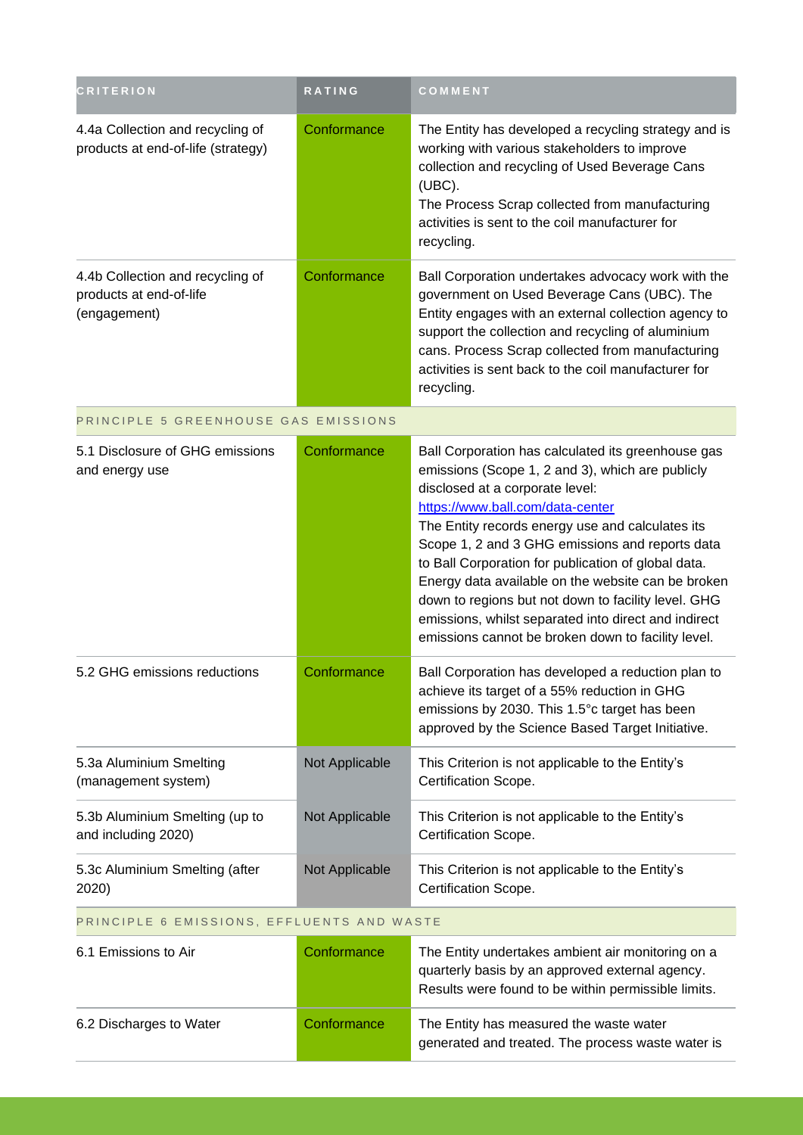| <b>CRITERION</b>                                                            | <b>RATING</b>  | COMMENT                                                                                                                                                                                                                                                                                                                                                                                                                                                                                                                                                                |  |
|-----------------------------------------------------------------------------|----------------|------------------------------------------------------------------------------------------------------------------------------------------------------------------------------------------------------------------------------------------------------------------------------------------------------------------------------------------------------------------------------------------------------------------------------------------------------------------------------------------------------------------------------------------------------------------------|--|
| 4.4a Collection and recycling of<br>products at end-of-life (strategy)      | Conformance    | The Entity has developed a recycling strategy and is<br>working with various stakeholders to improve<br>collection and recycling of Used Beverage Cans<br>(UBC).<br>The Process Scrap collected from manufacturing<br>activities is sent to the coil manufacturer for<br>recycling.                                                                                                                                                                                                                                                                                    |  |
| 4.4b Collection and recycling of<br>products at end-of-life<br>(engagement) | Conformance    | Ball Corporation undertakes advocacy work with the<br>government on Used Beverage Cans (UBC). The<br>Entity engages with an external collection agency to<br>support the collection and recycling of aluminium<br>cans. Process Scrap collected from manufacturing<br>activities is sent back to the coil manufacturer for<br>recycling.                                                                                                                                                                                                                               |  |
| PRINCIPLE 5 GREENHOUSE GAS EMISSIONS                                        |                |                                                                                                                                                                                                                                                                                                                                                                                                                                                                                                                                                                        |  |
| 5.1 Disclosure of GHG emissions<br>and energy use                           | Conformance    | Ball Corporation has calculated its greenhouse gas<br>emissions (Scope 1, 2 and 3), which are publicly<br>disclosed at a corporate level:<br>https://www.ball.com/data-center<br>The Entity records energy use and calculates its<br>Scope 1, 2 and 3 GHG emissions and reports data<br>to Ball Corporation for publication of global data.<br>Energy data available on the website can be broken<br>down to regions but not down to facility level. GHG<br>emissions, whilst separated into direct and indirect<br>emissions cannot be broken down to facility level. |  |
| 5.2 GHG emissions reductions                                                | Conformance    | Ball Corporation has developed a reduction plan to<br>achieve its target of a 55% reduction in GHG<br>emissions by 2030. This 1.5°c target has been<br>approved by the Science Based Target Initiative.                                                                                                                                                                                                                                                                                                                                                                |  |
| 5.3a Aluminium Smelting<br>(management system)                              | Not Applicable | This Criterion is not applicable to the Entity's<br>Certification Scope.                                                                                                                                                                                                                                                                                                                                                                                                                                                                                               |  |
| 5.3b Aluminium Smelting (up to<br>and including 2020)                       | Not Applicable | This Criterion is not applicable to the Entity's<br>Certification Scope.                                                                                                                                                                                                                                                                                                                                                                                                                                                                                               |  |
| 5.3c Aluminium Smelting (after<br>2020)                                     | Not Applicable | This Criterion is not applicable to the Entity's<br>Certification Scope.                                                                                                                                                                                                                                                                                                                                                                                                                                                                                               |  |
| PRINCIPLE 6 EMISSIONS, EFFLUENTS AND WASTE                                  |                |                                                                                                                                                                                                                                                                                                                                                                                                                                                                                                                                                                        |  |

| 6.1 Emissions to Air    | Conformance | The Entity undertakes ambient air monitoring on a<br>quarterly basis by an approved external agency.<br>Results were found to be within permissible limits. |
|-------------------------|-------------|-------------------------------------------------------------------------------------------------------------------------------------------------------------|
| 6.2 Discharges to Water | Conformance | The Entity has measured the waste water<br>generated and treated. The process waste water is                                                                |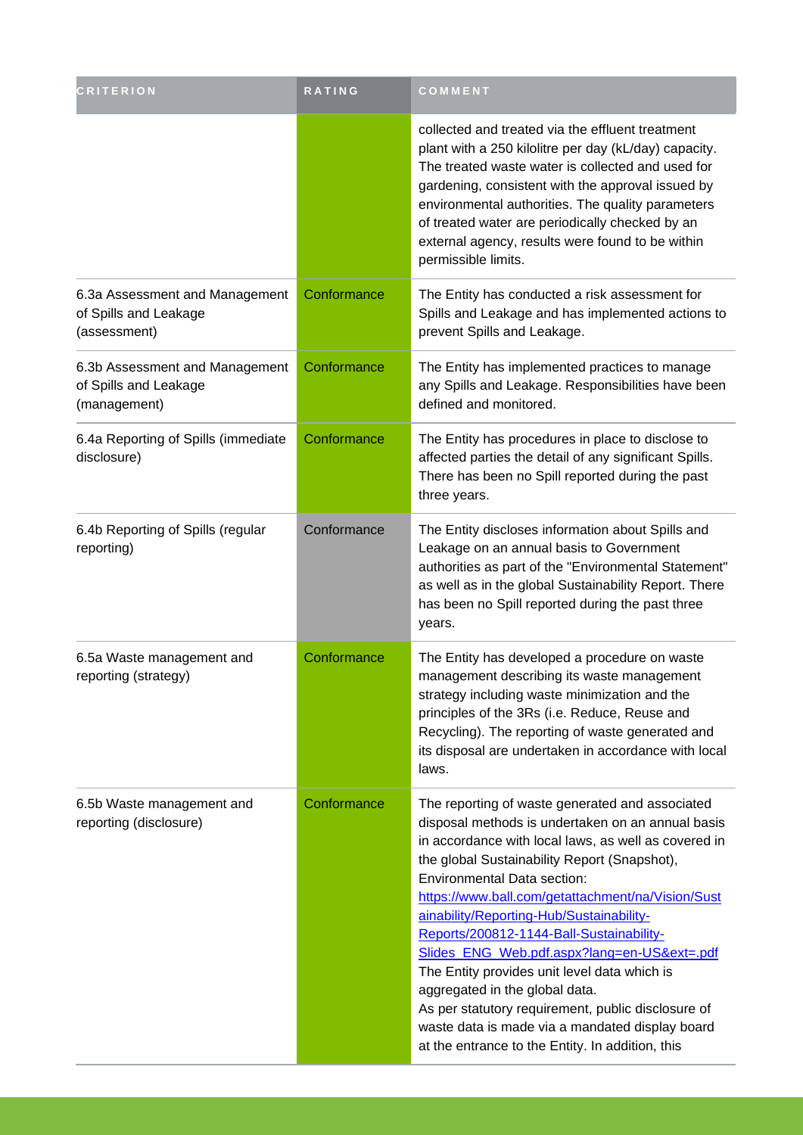| <b>CRITERION</b>                                                        | RATING      | COMMENT                                                                                                                                                                                                                                                                                                                                                                                                                                                                                                                                                                                                                                                                                       |
|-------------------------------------------------------------------------|-------------|-----------------------------------------------------------------------------------------------------------------------------------------------------------------------------------------------------------------------------------------------------------------------------------------------------------------------------------------------------------------------------------------------------------------------------------------------------------------------------------------------------------------------------------------------------------------------------------------------------------------------------------------------------------------------------------------------|
|                                                                         |             | collected and treated via the effluent treatment<br>plant with a 250 kilolitre per day (kL/day) capacity.<br>The treated waste water is collected and used for<br>gardening, consistent with the approval issued by<br>environmental authorities. The quality parameters<br>of treated water are periodically checked by an<br>external agency, results were found to be within<br>permissible limits.                                                                                                                                                                                                                                                                                        |
| 6.3a Assessment and Management<br>of Spills and Leakage<br>(assessment) | Conformance | The Entity has conducted a risk assessment for<br>Spills and Leakage and has implemented actions to<br>prevent Spills and Leakage.                                                                                                                                                                                                                                                                                                                                                                                                                                                                                                                                                            |
| 6.3b Assessment and Management<br>of Spills and Leakage<br>(management) | Conformance | The Entity has implemented practices to manage<br>any Spills and Leakage. Responsibilities have been<br>defined and monitored.                                                                                                                                                                                                                                                                                                                                                                                                                                                                                                                                                                |
| 6.4a Reporting of Spills (immediate<br>disclosure)                      | Conformance | The Entity has procedures in place to disclose to<br>affected parties the detail of any significant Spills.<br>There has been no Spill reported during the past<br>three years.                                                                                                                                                                                                                                                                                                                                                                                                                                                                                                               |
| 6.4b Reporting of Spills (regular<br>reporting)                         | Conformance | The Entity discloses information about Spills and<br>Leakage on an annual basis to Government<br>authorities as part of the "Environmental Statement"<br>as well as in the global Sustainability Report. There<br>has been no Spill reported during the past three<br>years.                                                                                                                                                                                                                                                                                                                                                                                                                  |
| 6.5a Waste management and<br>reporting (strategy)                       | Conformance | The Entity has developed a procedure on waste<br>management describing its waste management<br>strategy including waste minimization and the<br>principles of the 3Rs (i.e. Reduce, Reuse and<br>Recycling). The reporting of waste generated and<br>its disposal are undertaken in accordance with local<br>laws.                                                                                                                                                                                                                                                                                                                                                                            |
| 6.5b Waste management and<br>reporting (disclosure)                     | Conformance | The reporting of waste generated and associated<br>disposal methods is undertaken on an annual basis<br>in accordance with local laws, as well as covered in<br>the global Sustainability Report (Snapshot),<br><b>Environmental Data section:</b><br>https://www.ball.com/getattachment/na/Vision/Sust<br>ainability/Reporting-Hub/Sustainability-<br>Reports/200812-1144-Ball-Sustainability-<br>Slides_ENG_Web.pdf.aspx?lang=en-US&ext=.pdf<br>The Entity provides unit level data which is<br>aggregated in the global data.<br>As per statutory requirement, public disclosure of<br>waste data is made via a mandated display board<br>at the entrance to the Entity. In addition, this |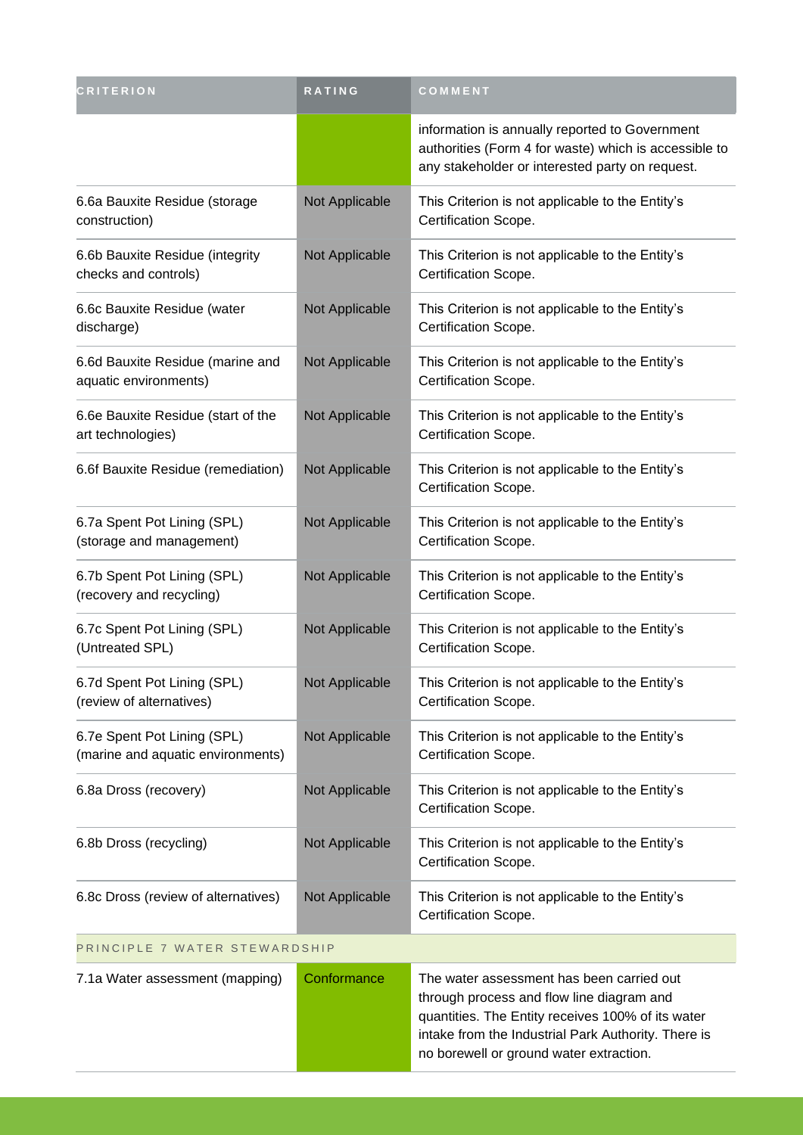| <b>CRITERION</b>                                                 | RATING         | COMMENT                                                                                                                                                                                                                                       |  |
|------------------------------------------------------------------|----------------|-----------------------------------------------------------------------------------------------------------------------------------------------------------------------------------------------------------------------------------------------|--|
|                                                                  |                | information is annually reported to Government<br>authorities (Form 4 for waste) which is accessible to<br>any stakeholder or interested party on request.                                                                                    |  |
| 6.6a Bauxite Residue (storage<br>construction)                   | Not Applicable | This Criterion is not applicable to the Entity's<br>Certification Scope.                                                                                                                                                                      |  |
| 6.6b Bauxite Residue (integrity<br>checks and controls)          | Not Applicable | This Criterion is not applicable to the Entity's<br>Certification Scope.                                                                                                                                                                      |  |
| 6.6c Bauxite Residue (water<br>discharge)                        | Not Applicable | This Criterion is not applicable to the Entity's<br>Certification Scope.                                                                                                                                                                      |  |
| 6.6d Bauxite Residue (marine and<br>aquatic environments)        | Not Applicable | This Criterion is not applicable to the Entity's<br>Certification Scope.                                                                                                                                                                      |  |
| 6.6e Bauxite Residue (start of the<br>art technologies)          | Not Applicable | This Criterion is not applicable to the Entity's<br>Certification Scope.                                                                                                                                                                      |  |
| 6.6f Bauxite Residue (remediation)                               | Not Applicable | This Criterion is not applicable to the Entity's<br>Certification Scope.                                                                                                                                                                      |  |
| 6.7a Spent Pot Lining (SPL)<br>(storage and management)          | Not Applicable | This Criterion is not applicable to the Entity's<br>Certification Scope.                                                                                                                                                                      |  |
| 6.7b Spent Pot Lining (SPL)<br>(recovery and recycling)          | Not Applicable | This Criterion is not applicable to the Entity's<br>Certification Scope.                                                                                                                                                                      |  |
| 6.7c Spent Pot Lining (SPL)<br>(Untreated SPL)                   | Not Applicable | This Criterion is not applicable to the Entity's<br>Certification Scope.                                                                                                                                                                      |  |
| 6.7d Spent Pot Lining (SPL)<br>(review of alternatives)          | Not Applicable | This Criterion is not applicable to the Entity's<br>Certification Scope.                                                                                                                                                                      |  |
| 6.7e Spent Pot Lining (SPL)<br>(marine and aquatic environments) | Not Applicable | This Criterion is not applicable to the Entity's<br>Certification Scope.                                                                                                                                                                      |  |
| 6.8a Dross (recovery)                                            | Not Applicable | This Criterion is not applicable to the Entity's<br>Certification Scope.                                                                                                                                                                      |  |
| 6.8b Dross (recycling)                                           | Not Applicable | This Criterion is not applicable to the Entity's<br>Certification Scope.                                                                                                                                                                      |  |
| 6.8c Dross (review of alternatives)                              | Not Applicable | This Criterion is not applicable to the Entity's<br>Certification Scope.                                                                                                                                                                      |  |
| PRINCIPLE 7 WATER STEWARDSHIP                                    |                |                                                                                                                                                                                                                                               |  |
| 7.1a Water assessment (mapping)                                  | Conformance    | The water assessment has been carried out<br>through process and flow line diagram and<br>quantities. The Entity receives 100% of its water<br>intake from the Industrial Park Authority. There is<br>no borewell or ground water extraction. |  |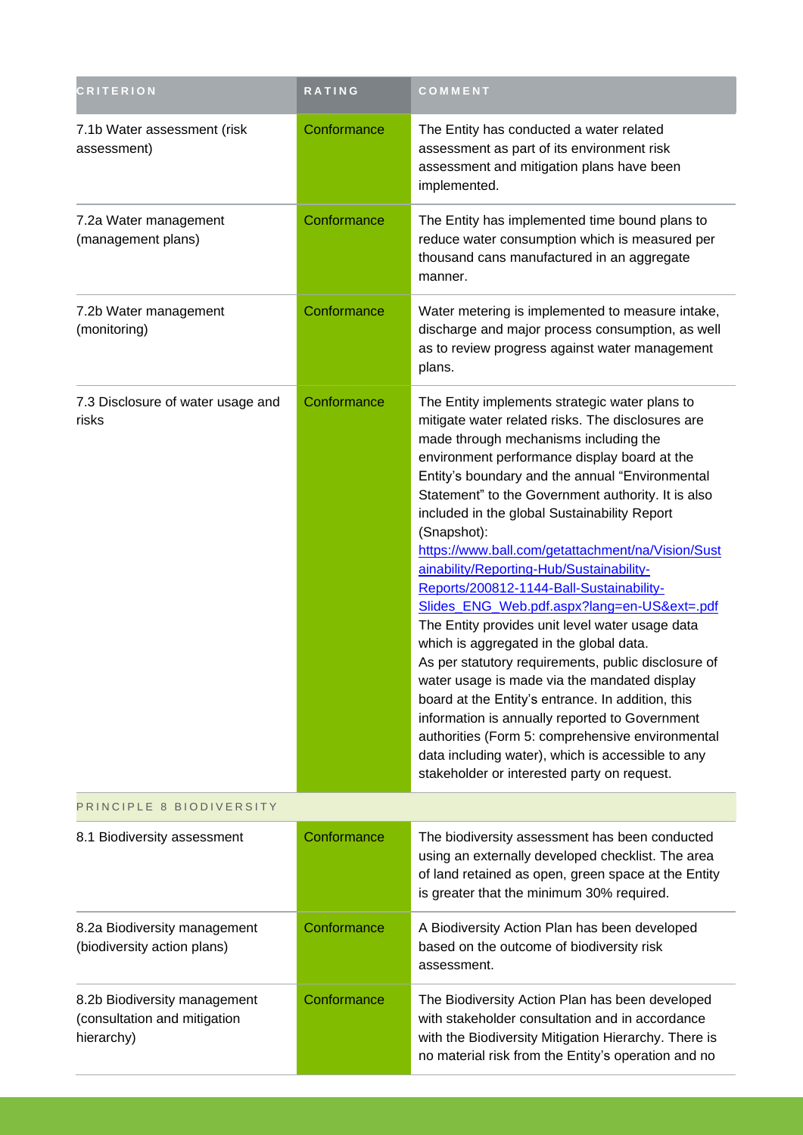| <b>CRITERION</b>                                                           | RATING      | COMMENT                                                                                                                                                                                                                                                                                                                                                                                                                                                                                                                                                                                                                                                                                                                                                                                                                                                                                                                                                                                                                              |  |
|----------------------------------------------------------------------------|-------------|--------------------------------------------------------------------------------------------------------------------------------------------------------------------------------------------------------------------------------------------------------------------------------------------------------------------------------------------------------------------------------------------------------------------------------------------------------------------------------------------------------------------------------------------------------------------------------------------------------------------------------------------------------------------------------------------------------------------------------------------------------------------------------------------------------------------------------------------------------------------------------------------------------------------------------------------------------------------------------------------------------------------------------------|--|
| 7.1b Water assessment (risk<br>assessment)                                 | Conformance | The Entity has conducted a water related<br>assessment as part of its environment risk<br>assessment and mitigation plans have been<br>implemented.                                                                                                                                                                                                                                                                                                                                                                                                                                                                                                                                                                                                                                                                                                                                                                                                                                                                                  |  |
| 7.2a Water management<br>(management plans)                                | Conformance | The Entity has implemented time bound plans to<br>reduce water consumption which is measured per<br>thousand cans manufactured in an aggregate<br>manner.                                                                                                                                                                                                                                                                                                                                                                                                                                                                                                                                                                                                                                                                                                                                                                                                                                                                            |  |
| 7.2b Water management<br>(monitoring)                                      | Conformance | Water metering is implemented to measure intake,<br>discharge and major process consumption, as well<br>as to review progress against water management<br>plans.                                                                                                                                                                                                                                                                                                                                                                                                                                                                                                                                                                                                                                                                                                                                                                                                                                                                     |  |
| 7.3 Disclosure of water usage and<br>risks                                 | Conformance | The Entity implements strategic water plans to<br>mitigate water related risks. The disclosures are<br>made through mechanisms including the<br>environment performance display board at the<br>Entity's boundary and the annual "Environmental<br>Statement" to the Government authority. It is also<br>included in the global Sustainability Report<br>(Snapshot):<br>https://www.ball.com/getattachment/na/Vision/Sust<br>ainability/Reporting-Hub/Sustainability-<br>Reports/200812-1144-Ball-Sustainability-<br>Slides_ENG_Web.pdf.aspx?lang=en-US&ext=.pdf<br>The Entity provides unit level water usage data<br>which is aggregated in the global data.<br>As per statutory requirements, public disclosure of<br>water usage is made via the mandated display<br>board at the Entity's entrance. In addition, this<br>information is annually reported to Government<br>authorities (Form 5: comprehensive environmental<br>data including water), which is accessible to any<br>stakeholder or interested party on request. |  |
| PRINCIPLE 8 BIODIVERSITY                                                   |             |                                                                                                                                                                                                                                                                                                                                                                                                                                                                                                                                                                                                                                                                                                                                                                                                                                                                                                                                                                                                                                      |  |
| 8.1 Biodiversity assessment                                                | Conformance | The biodiversity assessment has been conducted<br>using an externally developed checklist. The area<br>of land retained as open, green space at the Entity<br>is greater that the minimum 30% required.                                                                                                                                                                                                                                                                                                                                                                                                                                                                                                                                                                                                                                                                                                                                                                                                                              |  |
| 8.2a Biodiversity management<br>(biodiversity action plans)                | Conformance | A Biodiversity Action Plan has been developed<br>based on the outcome of biodiversity risk<br>assessment.                                                                                                                                                                                                                                                                                                                                                                                                                                                                                                                                                                                                                                                                                                                                                                                                                                                                                                                            |  |
| 8.2b Biodiversity management<br>(consultation and mitigation<br>hierarchy) | Conformance | The Biodiversity Action Plan has been developed<br>with stakeholder consultation and in accordance<br>with the Biodiversity Mitigation Hierarchy. There is<br>no material risk from the Entity's operation and no                                                                                                                                                                                                                                                                                                                                                                                                                                                                                                                                                                                                                                                                                                                                                                                                                    |  |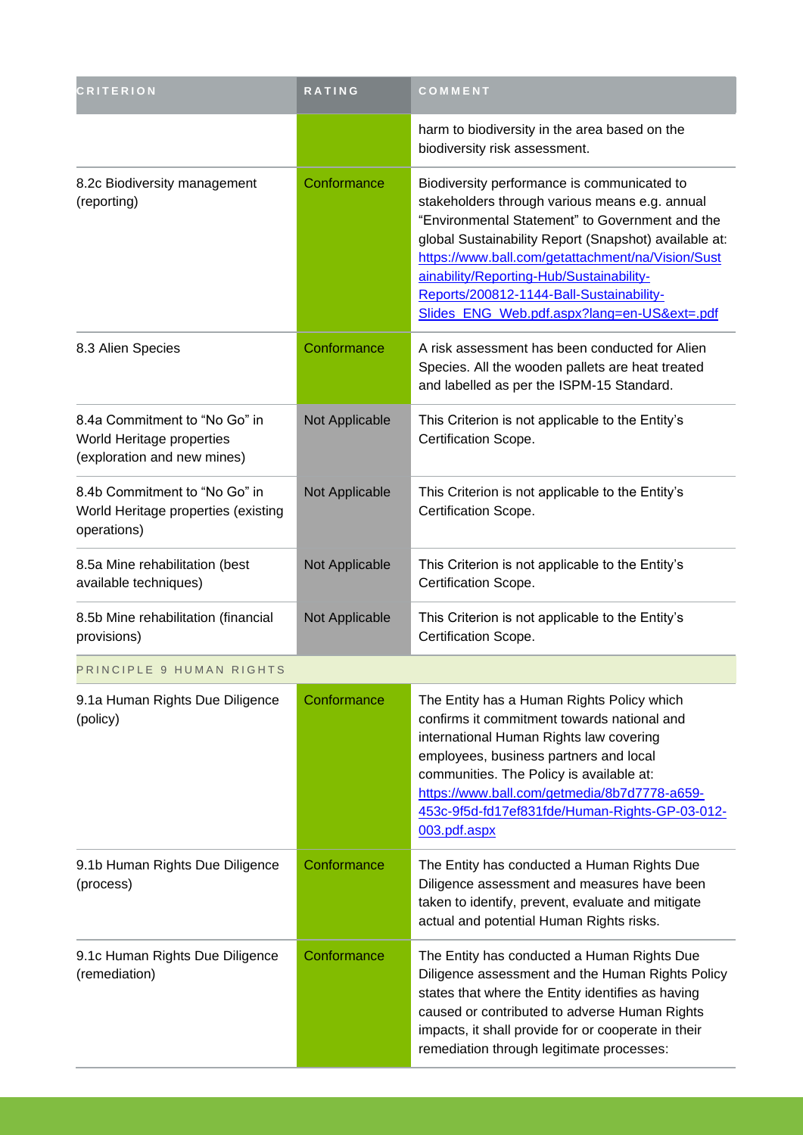| <b>CRITERION</b>                                                                          | RATING         | COMMENT                                                                                                                                                                                                                                                                                                                                                                                               |
|-------------------------------------------------------------------------------------------|----------------|-------------------------------------------------------------------------------------------------------------------------------------------------------------------------------------------------------------------------------------------------------------------------------------------------------------------------------------------------------------------------------------------------------|
|                                                                                           |                | harm to biodiversity in the area based on the<br>biodiversity risk assessment.                                                                                                                                                                                                                                                                                                                        |
| 8.2c Biodiversity management<br>(reporting)                                               | Conformance    | Biodiversity performance is communicated to<br>stakeholders through various means e.g. annual<br>"Environmental Statement" to Government and the<br>global Sustainability Report (Snapshot) available at:<br>https://www.ball.com/getattachment/na/Vision/Sust<br>ainability/Reporting-Hub/Sustainability-<br>Reports/200812-1144-Ball-Sustainability-<br>Slides_ENG_Web.pdf.aspx?lang=en-US&ext=.pdf |
| 8.3 Alien Species                                                                         | Conformance    | A risk assessment has been conducted for Alien<br>Species. All the wooden pallets are heat treated<br>and labelled as per the ISPM-15 Standard.                                                                                                                                                                                                                                                       |
| 8.4a Commitment to "No Go" in<br>World Heritage properties<br>(exploration and new mines) | Not Applicable | This Criterion is not applicable to the Entity's<br>Certification Scope.                                                                                                                                                                                                                                                                                                                              |
| 8.4b Commitment to "No Go" in<br>World Heritage properties (existing<br>operations)       | Not Applicable | This Criterion is not applicable to the Entity's<br>Certification Scope.                                                                                                                                                                                                                                                                                                                              |
| 8.5a Mine rehabilitation (best<br>available techniques)                                   | Not Applicable | This Criterion is not applicable to the Entity's<br>Certification Scope.                                                                                                                                                                                                                                                                                                                              |
| 8.5b Mine rehabilitation (financial<br>provisions)                                        | Not Applicable | This Criterion is not applicable to the Entity's<br>Certification Scope.                                                                                                                                                                                                                                                                                                                              |
| PRINCIPLE 9 HUMAN RIGHTS                                                                  |                |                                                                                                                                                                                                                                                                                                                                                                                                       |
| 9.1a Human Rights Due Diligence<br>(policy)                                               | Conformance    | The Entity has a Human Rights Policy which<br>confirms it commitment towards national and<br>international Human Rights law covering<br>employees, business partners and local<br>communities. The Policy is available at:<br>https://www.ball.com/getmedia/8b7d7778-a659-<br>453c-9f5d-fd17ef831fde/Human-Rights-GP-03-012-<br>003.pdf.aspx                                                          |
| 9.1b Human Rights Due Diligence<br>(process)                                              | Conformance    | The Entity has conducted a Human Rights Due<br>Diligence assessment and measures have been<br>taken to identify, prevent, evaluate and mitigate<br>actual and potential Human Rights risks.                                                                                                                                                                                                           |
| 9.1c Human Rights Due Diligence<br>(remediation)                                          | Conformance    | The Entity has conducted a Human Rights Due<br>Diligence assessment and the Human Rights Policy<br>states that where the Entity identifies as having<br>caused or contributed to adverse Human Rights<br>impacts, it shall provide for or cooperate in their<br>remediation through legitimate processes:                                                                                             |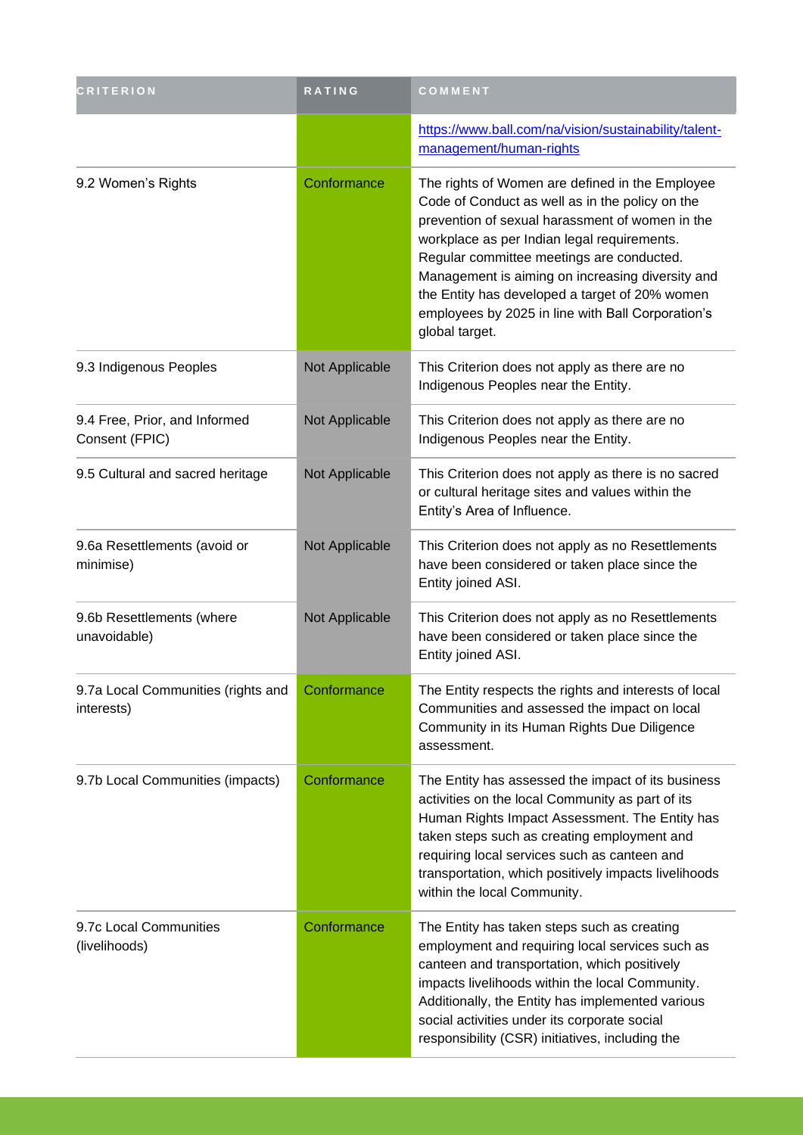| <b>CRITERION</b>                                 | RATING         | COMMENT                                                                                                                                                                                                                                                                                                                                                                                                                        |
|--------------------------------------------------|----------------|--------------------------------------------------------------------------------------------------------------------------------------------------------------------------------------------------------------------------------------------------------------------------------------------------------------------------------------------------------------------------------------------------------------------------------|
|                                                  |                | https://www.ball.com/na/vision/sustainability/talent-<br>management/human-rights                                                                                                                                                                                                                                                                                                                                               |
| 9.2 Women's Rights                               | Conformance    | The rights of Women are defined in the Employee<br>Code of Conduct as well as in the policy on the<br>prevention of sexual harassment of women in the<br>workplace as per Indian legal requirements.<br>Regular committee meetings are conducted.<br>Management is aiming on increasing diversity and<br>the Entity has developed a target of 20% women<br>employees by 2025 in line with Ball Corporation's<br>global target. |
| 9.3 Indigenous Peoples                           | Not Applicable | This Criterion does not apply as there are no<br>Indigenous Peoples near the Entity.                                                                                                                                                                                                                                                                                                                                           |
| 9.4 Free, Prior, and Informed<br>Consent (FPIC)  | Not Applicable | This Criterion does not apply as there are no<br>Indigenous Peoples near the Entity.                                                                                                                                                                                                                                                                                                                                           |
| 9.5 Cultural and sacred heritage                 | Not Applicable | This Criterion does not apply as there is no sacred<br>or cultural heritage sites and values within the<br>Entity's Area of Influence.                                                                                                                                                                                                                                                                                         |
| 9.6a Resettlements (avoid or<br>minimise)        | Not Applicable | This Criterion does not apply as no Resettlements<br>have been considered or taken place since the<br>Entity joined ASI.                                                                                                                                                                                                                                                                                                       |
| 9.6b Resettlements (where<br>unavoidable)        | Not Applicable | This Criterion does not apply as no Resettlements<br>have been considered or taken place since the<br>Entity joined ASI.                                                                                                                                                                                                                                                                                                       |
| 9.7a Local Communities (rights and<br>interests) | Conformance    | The Entity respects the rights and interests of local<br>Communities and assessed the impact on local<br>Community in its Human Rights Due Diligence<br>assessment.                                                                                                                                                                                                                                                            |
| 9.7b Local Communities (impacts)                 | Conformance    | The Entity has assessed the impact of its business<br>activities on the local Community as part of its<br>Human Rights Impact Assessment. The Entity has<br>taken steps such as creating employment and<br>requiring local services such as canteen and<br>transportation, which positively impacts livelihoods<br>within the local Community.                                                                                 |
| 9.7c Local Communities<br>(livelihoods)          | Conformance    | The Entity has taken steps such as creating<br>employment and requiring local services such as<br>canteen and transportation, which positively<br>impacts livelihoods within the local Community.<br>Additionally, the Entity has implemented various<br>social activities under its corporate social<br>responsibility (CSR) initiatives, including the                                                                       |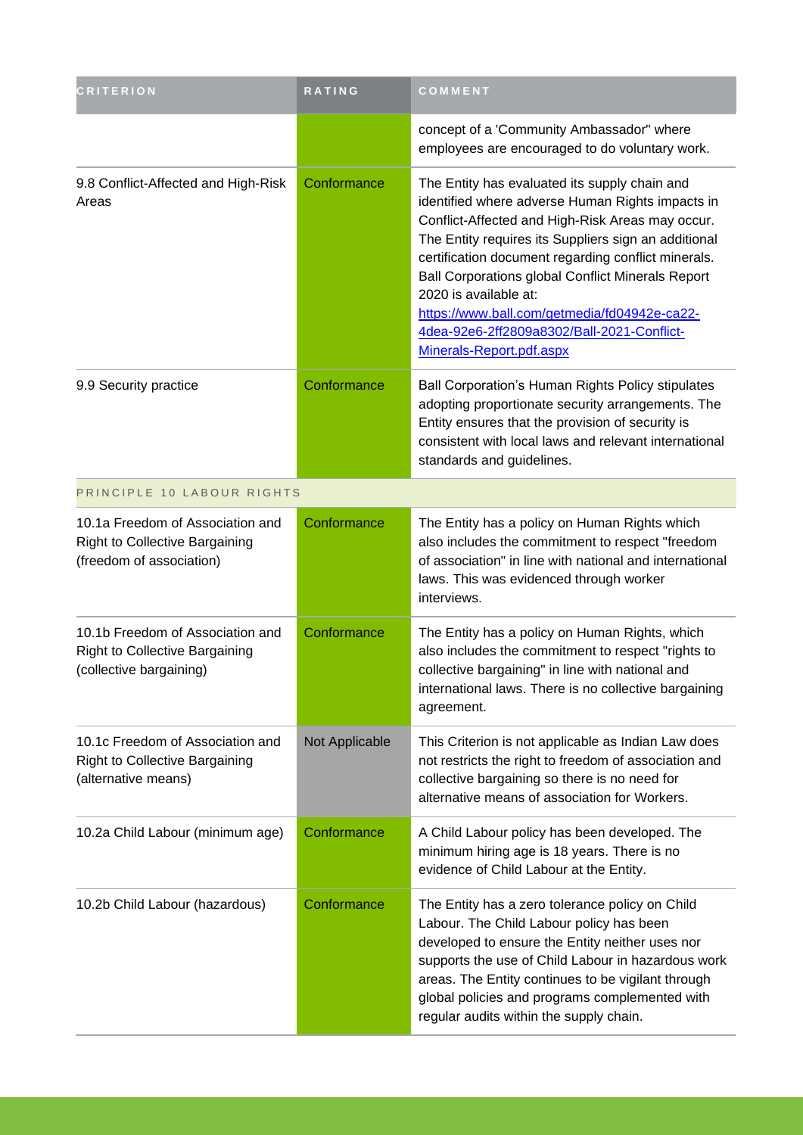| <b>CRITERION</b>                                                                                      | <b>RATING</b>         | COMMENT                                                                                                                                                                                                                                                                                                                                                                                                                                                                             |
|-------------------------------------------------------------------------------------------------------|-----------------------|-------------------------------------------------------------------------------------------------------------------------------------------------------------------------------------------------------------------------------------------------------------------------------------------------------------------------------------------------------------------------------------------------------------------------------------------------------------------------------------|
|                                                                                                       |                       | concept of a 'Community Ambassador" where<br>employees are encouraged to do voluntary work.                                                                                                                                                                                                                                                                                                                                                                                         |
| 9.8 Conflict-Affected and High-Risk<br>Areas                                                          | Conformance           | The Entity has evaluated its supply chain and<br>identified where adverse Human Rights impacts in<br>Conflict-Affected and High-Risk Areas may occur.<br>The Entity requires its Suppliers sign an additional<br>certification document regarding conflict minerals.<br><b>Ball Corporations global Conflict Minerals Report</b><br>2020 is available at:<br>https://www.ball.com/getmedia/fd04942e-ca22-<br>4dea-92e6-2ff2809a8302/Ball-2021-Conflict-<br>Minerals-Report.pdf.aspx |
| 9.9 Security practice                                                                                 | Conformance           | Ball Corporation's Human Rights Policy stipulates<br>adopting proportionate security arrangements. The<br>Entity ensures that the provision of security is<br>consistent with local laws and relevant international<br>standards and guidelines.                                                                                                                                                                                                                                    |
| PRINCIPLE 10 LABOUR RIGHTS                                                                            |                       |                                                                                                                                                                                                                                                                                                                                                                                                                                                                                     |
| 10.1a Freedom of Association and<br><b>Right to Collective Bargaining</b><br>(freedom of association) | Conformance           | The Entity has a policy on Human Rights which<br>also includes the commitment to respect "freedom<br>of association" in line with national and international<br>laws. This was evidenced through worker<br>interviews.                                                                                                                                                                                                                                                              |
| 10.1b Freedom of Association and<br><b>Right to Collective Bargaining</b><br>(collective bargaining)  | Conformance           | The Entity has a policy on Human Rights, which<br>also includes the commitment to respect "rights to<br>collective bargaining" in line with national and<br>international laws. There is no collective bargaining<br>agreement.                                                                                                                                                                                                                                                     |
| 10.1c Freedom of Association and<br><b>Right to Collective Bargaining</b><br>(alternative means)      | <b>Not Applicable</b> | This Criterion is not applicable as Indian Law does<br>not restricts the right to freedom of association and<br>collective bargaining so there is no need for<br>alternative means of association for Workers.                                                                                                                                                                                                                                                                      |
| 10.2a Child Labour (minimum age)                                                                      | Conformance           | A Child Labour policy has been developed. The<br>minimum hiring age is 18 years. There is no<br>evidence of Child Labour at the Entity.                                                                                                                                                                                                                                                                                                                                             |
| 10.2b Child Labour (hazardous)                                                                        | Conformance           | The Entity has a zero tolerance policy on Child<br>Labour. The Child Labour policy has been<br>developed to ensure the Entity neither uses nor<br>supports the use of Child Labour in hazardous work<br>areas. The Entity continues to be vigilant through<br>global policies and programs complemented with<br>regular audits within the supply chain.                                                                                                                             |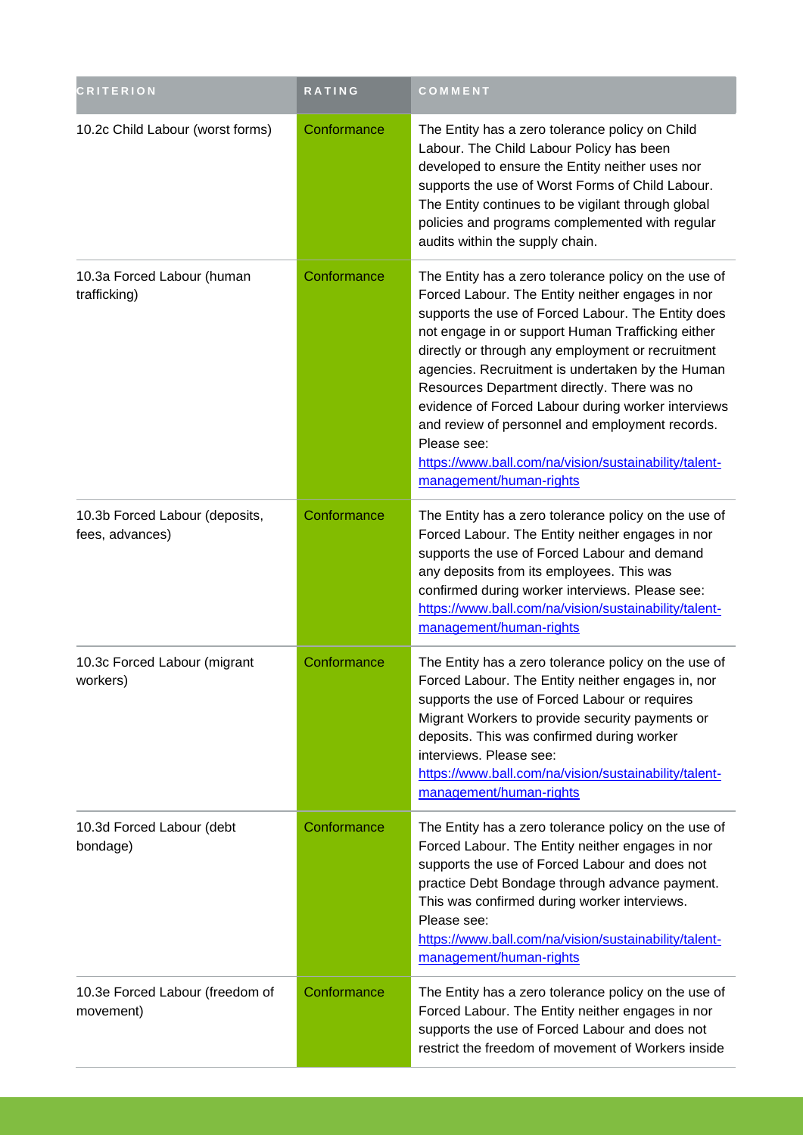| <b>CRITERION</b>                                  | <b>RATING</b> | COMMENT                                                                                                                                                                                                                                                                                                                                                                                                                                                                                                                                                                                 |
|---------------------------------------------------|---------------|-----------------------------------------------------------------------------------------------------------------------------------------------------------------------------------------------------------------------------------------------------------------------------------------------------------------------------------------------------------------------------------------------------------------------------------------------------------------------------------------------------------------------------------------------------------------------------------------|
| 10.2c Child Labour (worst forms)                  | Conformance   | The Entity has a zero tolerance policy on Child<br>Labour. The Child Labour Policy has been<br>developed to ensure the Entity neither uses nor<br>supports the use of Worst Forms of Child Labour.<br>The Entity continues to be vigilant through global<br>policies and programs complemented with regular<br>audits within the supply chain.                                                                                                                                                                                                                                          |
| 10.3a Forced Labour (human<br>trafficking)        | Conformance   | The Entity has a zero tolerance policy on the use of<br>Forced Labour. The Entity neither engages in nor<br>supports the use of Forced Labour. The Entity does<br>not engage in or support Human Trafficking either<br>directly or through any employment or recruitment<br>agencies. Recruitment is undertaken by the Human<br>Resources Department directly. There was no<br>evidence of Forced Labour during worker interviews<br>and review of personnel and employment records.<br>Please see:<br>https://www.ball.com/na/vision/sustainability/talent-<br>management/human-rights |
| 10.3b Forced Labour (deposits,<br>fees, advances) | Conformance   | The Entity has a zero tolerance policy on the use of<br>Forced Labour. The Entity neither engages in nor<br>supports the use of Forced Labour and demand<br>any deposits from its employees. This was<br>confirmed during worker interviews. Please see:<br>https://www.ball.com/na/vision/sustainability/talent-<br>management/human-rights                                                                                                                                                                                                                                            |
| 10.3c Forced Labour (migrant<br>workers)          | Conformance   | The Entity has a zero tolerance policy on the use of<br>Forced Labour. The Entity neither engages in, nor<br>supports the use of Forced Labour or requires<br>Migrant Workers to provide security payments or<br>deposits. This was confirmed during worker<br>interviews. Please see:<br>https://www.ball.com/na/vision/sustainability/talent-<br>management/human-rights                                                                                                                                                                                                              |
| 10.3d Forced Labour (debt<br>bondage)             | Conformance   | The Entity has a zero tolerance policy on the use of<br>Forced Labour. The Entity neither engages in nor<br>supports the use of Forced Labour and does not<br>practice Debt Bondage through advance payment.<br>This was confirmed during worker interviews.<br>Please see:<br>https://www.ball.com/na/vision/sustainability/talent-<br>management/human-rights                                                                                                                                                                                                                         |
| 10.3e Forced Labour (freedom of<br>movement)      | Conformance   | The Entity has a zero tolerance policy on the use of<br>Forced Labour. The Entity neither engages in nor<br>supports the use of Forced Labour and does not<br>restrict the freedom of movement of Workers inside                                                                                                                                                                                                                                                                                                                                                                        |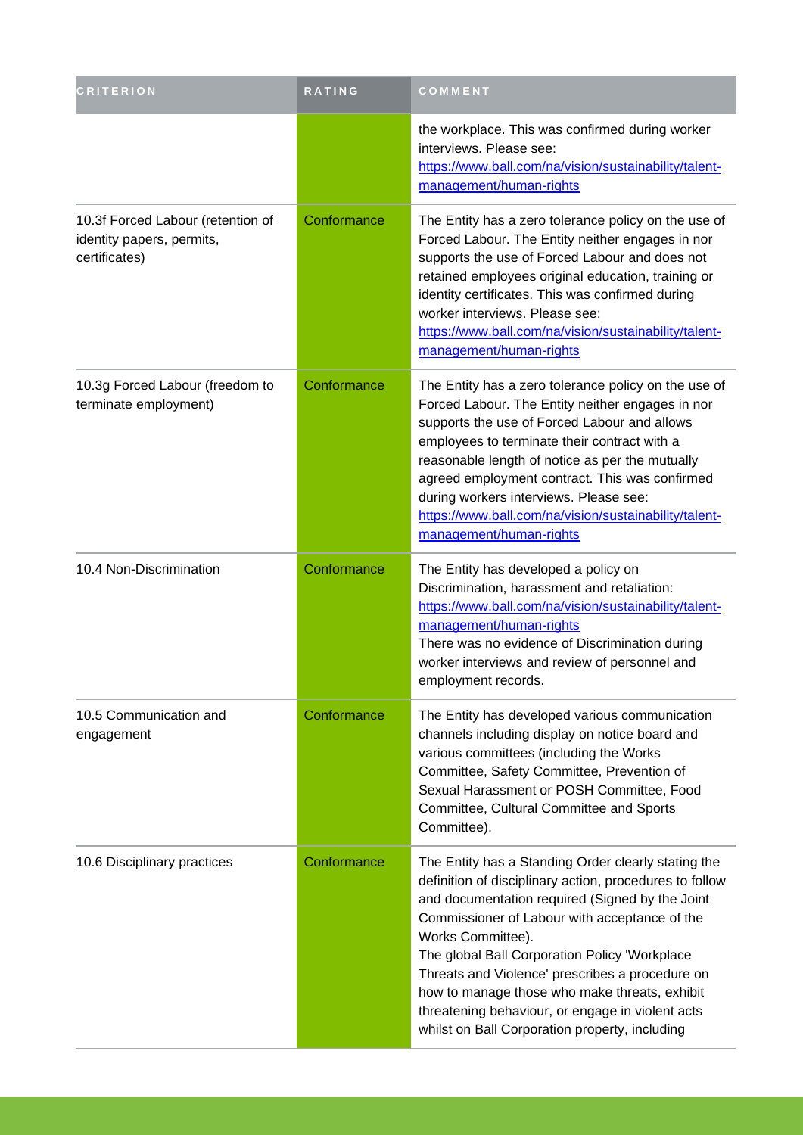| <b>CRITERION</b>                                                                | <b>RATING</b> | COMMENT                                                                                                                                                                                                                                                                                                                                                                                                                                                                                            |
|---------------------------------------------------------------------------------|---------------|----------------------------------------------------------------------------------------------------------------------------------------------------------------------------------------------------------------------------------------------------------------------------------------------------------------------------------------------------------------------------------------------------------------------------------------------------------------------------------------------------|
|                                                                                 |               | the workplace. This was confirmed during worker<br>interviews. Please see:<br>https://www.ball.com/na/vision/sustainability/talent-<br>management/human-rights                                                                                                                                                                                                                                                                                                                                     |
| 10.3f Forced Labour (retention of<br>identity papers, permits,<br>certificates) | Conformance   | The Entity has a zero tolerance policy on the use of<br>Forced Labour. The Entity neither engages in nor<br>supports the use of Forced Labour and does not<br>retained employees original education, training or<br>identity certificates. This was confirmed during<br>worker interviews. Please see:<br>https://www.ball.com/na/vision/sustainability/talent-<br>management/human-rights                                                                                                         |
| 10.3g Forced Labour (freedom to<br>terminate employment)                        | Conformance   | The Entity has a zero tolerance policy on the use of<br>Forced Labour. The Entity neither engages in nor<br>supports the use of Forced Labour and allows<br>employees to terminate their contract with a<br>reasonable length of notice as per the mutually<br>agreed employment contract. This was confirmed<br>during workers interviews. Please see:<br>https://www.ball.com/na/vision/sustainability/talent-<br>management/human-rights                                                        |
| 10.4 Non-Discrimination                                                         | Conformance   | The Entity has developed a policy on<br>Discrimination, harassment and retaliation:<br>https://www.ball.com/na/vision/sustainability/talent-<br>management/human-rights<br>There was no evidence of Discrimination during<br>worker interviews and review of personnel and<br>employment records.                                                                                                                                                                                                  |
| 10.5 Communication and<br>engagement                                            | Conformance   | The Entity has developed various communication<br>channels including display on notice board and<br>various committees (including the Works<br>Committee, Safety Committee, Prevention of<br>Sexual Harassment or POSH Committee, Food<br>Committee, Cultural Committee and Sports<br>Committee).                                                                                                                                                                                                  |
| 10.6 Disciplinary practices                                                     | Conformance   | The Entity has a Standing Order clearly stating the<br>definition of disciplinary action, procedures to follow<br>and documentation required (Signed by the Joint<br>Commissioner of Labour with acceptance of the<br>Works Committee).<br>The global Ball Corporation Policy 'Workplace<br>Threats and Violence' prescribes a procedure on<br>how to manage those who make threats, exhibit<br>threatening behaviour, or engage in violent acts<br>whilst on Ball Corporation property, including |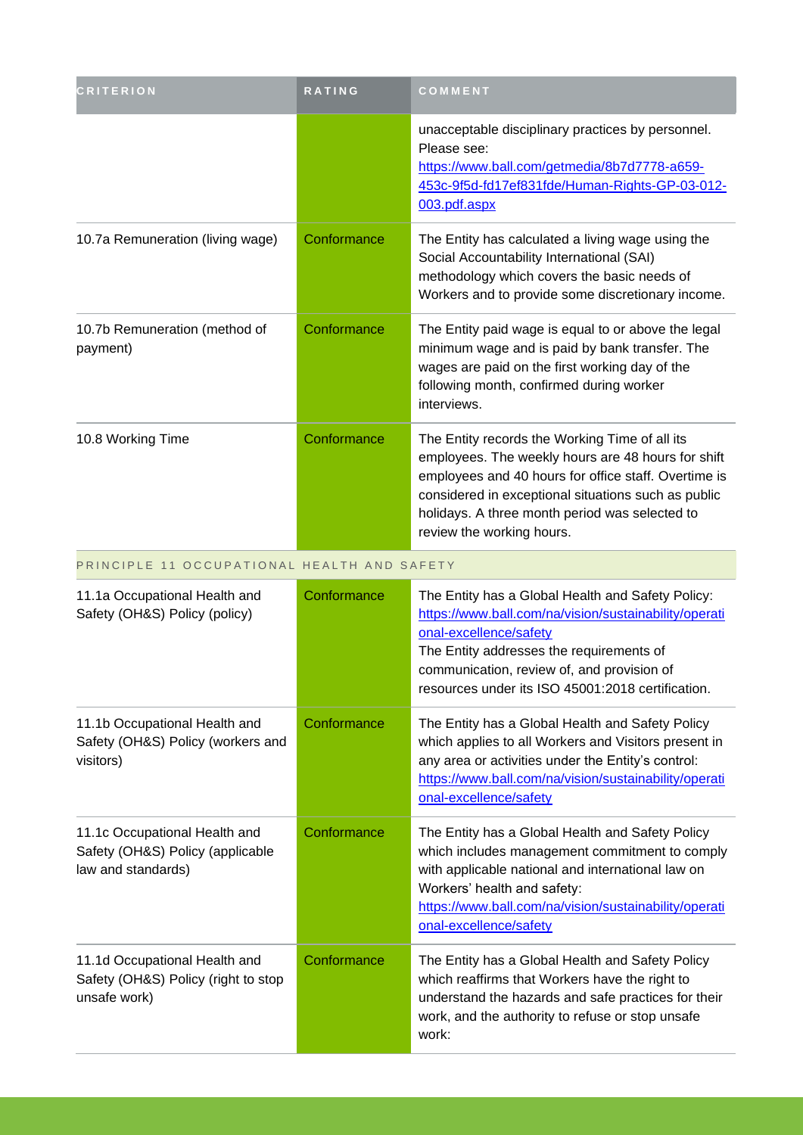| <b>CRITERION</b>                                                                        | RATING      | COMMENT                                                                                                                                                                                                                                                                                            |
|-----------------------------------------------------------------------------------------|-------------|----------------------------------------------------------------------------------------------------------------------------------------------------------------------------------------------------------------------------------------------------------------------------------------------------|
|                                                                                         |             | unacceptable disciplinary practices by personnel.<br>Please see:<br>https://www.ball.com/getmedia/8b7d7778-a659-<br>453c-9f5d-fd17ef831fde/Human-Rights-GP-03-012-<br>003.pdf.aspx                                                                                                                 |
| 10.7a Remuneration (living wage)                                                        | Conformance | The Entity has calculated a living wage using the<br>Social Accountability International (SAI)<br>methodology which covers the basic needs of<br>Workers and to provide some discretionary income.                                                                                                 |
| 10.7b Remuneration (method of<br>payment)                                               | Conformance | The Entity paid wage is equal to or above the legal<br>minimum wage and is paid by bank transfer. The<br>wages are paid on the first working day of the<br>following month, confirmed during worker<br>interviews.                                                                                 |
| 10.8 Working Time                                                                       | Conformance | The Entity records the Working Time of all its<br>employees. The weekly hours are 48 hours for shift<br>employees and 40 hours for office staff. Overtime is<br>considered in exceptional situations such as public<br>holidays. A three month period was selected to<br>review the working hours. |
| PRINCIPLE 11 OCCUPATIONAL HEALTH AND SAFETY                                             |             |                                                                                                                                                                                                                                                                                                    |
| 11.1a Occupational Health and<br>Safety (OH&S) Policy (policy)                          | Conformance | The Entity has a Global Health and Safety Policy:<br>https://www.ball.com/na/vision/sustainability/operati<br>onal-excellence/safety<br>The Entity addresses the requirements of<br>communication, review of, and provision of<br>resources under its ISO 45001:2018 certification.                |
| 11.1b Occupational Health and<br>Safety (OH&S) Policy (workers and<br>visitors)         | Conformance | The Entity has a Global Health and Safety Policy<br>which applies to all Workers and Visitors present in<br>any area or activities under the Entity's control:<br>https://www.ball.com/na/vision/sustainability/operati<br>onal-excellence/safety                                                  |
| 11.1c Occupational Health and<br>Safety (OH&S) Policy (applicable<br>law and standards) | Conformance | The Entity has a Global Health and Safety Policy<br>which includes management commitment to comply<br>with applicable national and international law on<br>Workers' health and safety:<br>https://www.ball.com/na/vision/sustainability/operati<br>onal-excellence/safety                          |
| 11.1d Occupational Health and<br>Safety (OH&S) Policy (right to stop<br>unsafe work)    | Conformance | The Entity has a Global Health and Safety Policy<br>which reaffirms that Workers have the right to<br>understand the hazards and safe practices for their<br>work, and the authority to refuse or stop unsafe<br>work:                                                                             |